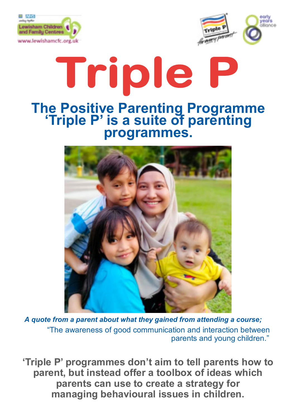



# Triple **The Positive Parenting Programme 'Triple P' is a suite of parenting programmes.**



*A quote from a parent about what they gained from attending a course;* "The awareness of good communication and interaction between parents and young children."

**'Triple P' programmes don't aim to tell parents how to parent, but instead offer a toolbox of ideas which parents can use to create a strategy for managing behavioural issues in children.**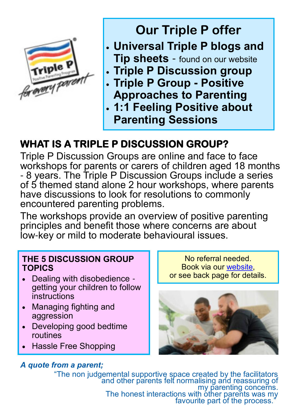

# **Our Triple P offer**

- **Universal Triple P blogs and Tip sheets** - found on our website
- **Triple P Discussion group**
- **Triple P Group - Positive Approaches to Parenting**
- **1:1 Feeling Positive about Parenting Sessions**

# **WHAT IS A TRIPLE P DISCUSSION GROUP?**

Triple P Discussion Groups are online and face to face workshops for parents or carers of children aged 18 months - 8 years. The Triple P Discussion Groups include a series of 5 themed stand alone 2 hour workshops, where parents have discussions to look for resolutions to commonly encountered parenting problems.

The workshops provide an overview of positive parenting principles and benefit those where concerns are about low-key or mild to moderate behavioural issues.

#### **THE 5 DISCUSSION GROUP TOPICS**

- Dealing with disobedience getting your children to follow instructions
- Managing fighting and aggression
- Developing good bedtime routines
- Hassle Free Shopping

### *A quote from a parent;*

No referral needed. Book via our [website,](https://www.lewishamcfc.org.uk/timetable/)  or see back page for details.



"The non judgemental supportive space created by the facilitators and other parents felt normalising and reassuring of my parenting concerns. The honest interactions with other parents was my favourite part of the process.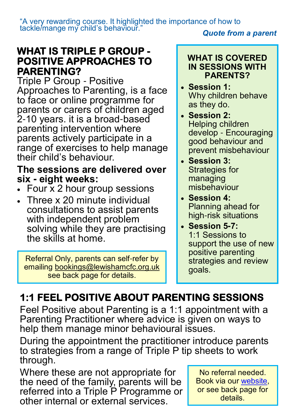"A very rewarding course. It highlighted the importance of how to tackle/mange my child's behaviour."

#### *Quote from a parent*

# **WHAT IS TRIPLE P GROUP - POSITIVE APPROACHES TO PARENTING?**

Triple P Group - Positive Approaches to Parenting, is a face to face or online programme for parents or carers of children aged 2-10 years. it is a broad-based parenting intervention where parents actively participate in a range of exercises to help manage their child's behaviour.

# **The sessions are delivered over six - eight weeks:**

- Four  $\bar{x}$  2 hour group sessions
- Three x 20 minute individual consultations to assist parents with independent problem solving while they are practising the skills at home.

Referral Only, parents can self-refer by emailing bookings@lewishamcfc.org.uk see back page for details.

#### **WHAT IS COVERED IN SESSIONS WITH PARENTS?**

- **Session 1:**  Why children behave as they do.
- **Session 2:**  Helping children develop - Encouraging good behaviour and prevent misbehaviour
- **Session 3:**  Strategies for managing misbehaviour
- **Session 4:**  Planning ahead for high-risk situations
- **Session 5-7:**  1:1 Sessions to support the use of new positive parenting strategies and review goals.

# **1:1 FEEL POSITIVE ABOUT PARENTING SESSIONS**

Feel Positive about Parenting is a 1:1 appointment with a Parenting Practitioner where advice is given on ways to help them manage minor behavioural issues.

During the appointment the practitioner introduce parents to strategies from a range of Triple P tip sheets to work through.

Where these are not appropriate for the need of the family, parents will be referred into a Triple P Programme or other internal or external services.

No referral needed. Book via our [website,](https://www.lewishamcfc.org.uk/timetable/) or see back page for details.